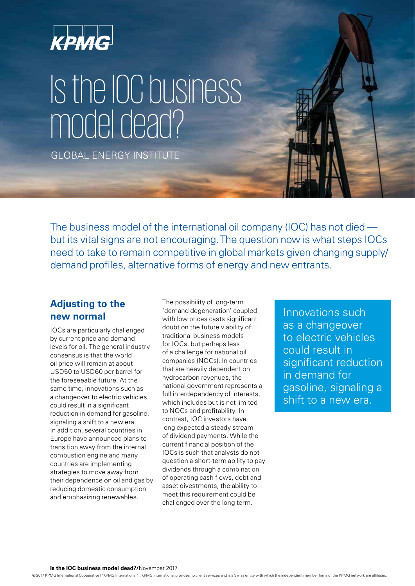

# Is the IOC business model dead?

GLOBAL ENERGY INSTITUTE

The business model of the international oil company (IOC) has not died but its vital signs are not encouraging. The question now is what steps IOCs need to take to remain competitive in global markets given changing supply/ demand profiles, alternative forms of energy and new entrants.

## **Adjusting to the new normal**

IOCs are particularly challenged by current price and demand levels for oil. The general industry consensus is that the world oil price will remain at about USD50 to USD60 per barrel for the foreseeable future. At the same time, innovations such as a changeover to electric vehicles could result in a significant reduction in demand for gasoline, signaling a shift to a new era. In addition, several countries in Europe have announced plans to transition away from the internal combustion engine and many countries are implementing strategies to move away from their dependence on oil and gas by reducing domestic consumption and emphasizing renewables.

The possibility of long-term 'demand degeneration' coupled with low prices casts significant doubt on the future viability of traditional business models for IOCs, but perhaps less of a challenge for national oil companies (NOCs). In countries that are heavily dependent on hydrocarbon revenues, the national government represents a full interdependency of interests, which includes but is not limited to NOCs and profitability. In contrast, IOC investors have long expected a steady stream of dividend payments. While the current financial position of the IOCs is such that analysts do not question a short-term ability to pay dividends through a combination of operating cash flows, debt and asset divestments, the ability to meet this requirement could be challenged over the long term.

Innovations such as a changeover to electric vehicles could result in significant reduction in demand for gasoline, signaling a shift to a new era.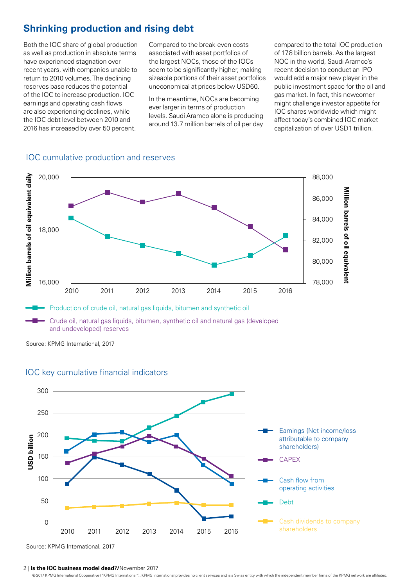## **Shrinking production and rising debt**

Both the IOC share of global production as well as production in absolute terms have experienced stagnation over recent years, with companies unable to return to 2010 volumes. The declining reserves base reduces the potential of the IOC to increase production. IOC earnings and operating cash flows are also experiencing declines, while the IOC debt level between 2010 and 2016 has increased by over 50 percent.

Compared to the break-even costs associated with asset portfolios of the largest NOCs, those of the IOCs seem to be significantly higher, making sizeable portions of their asset portfolios uneconomical at prices below USD60.

In the meantime, NOCs are becoming ever larger in terms of production levels. Saudi Aramco alone is producing around 13.7 million barrels of oil per day compared to the total IOC production of 17.8 billion barrels. As the largest NOC in the world, Saudi Aramco's recent decision to conduct an IPO would add a major new player in the public investment space for the oil and gas market. In fact, this newcomer might challenge investor appetite for IOC shares worldwide which might affect today's combined IOC market capitalization of over USD1 trillion.





and undeveloped) reserves

Source: KPMG International, 2017



#### IOC key cumulative financial indicators

Source: KPMG International, 2017

#### 2 | **Is the IOC business model dead?/**November 2017

© 2017 KPMG International Cooperative ("KPMG International"). KPMG International provides no client services and is a Swiss entity with which the independent member firms of the KPMG network are affiliated.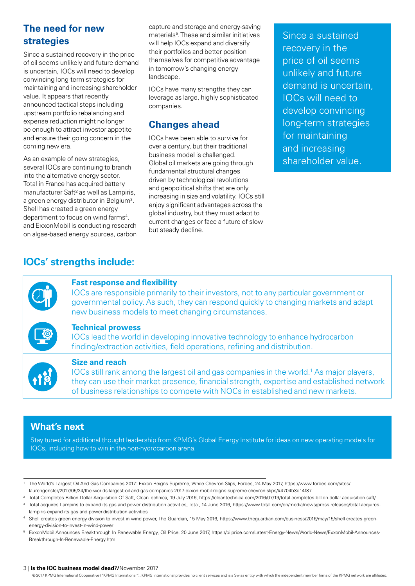# **The need for new strategies**

Since a sustained recovery in the price of oil seems unlikely and future demand is uncertain, IOCs will need to develop convincing long-term strategies for maintaining and increasing shareholder value. It appears that recently announced tactical steps including upstream portfolio rebalancing and expense reduction might no longer be enough to attract investor appetite and ensure their going concern in the coming new era.

As an example of new strategies, several IOCs are continuing to branch into the alternative energy sector. Total in France has acquired battery manufacturer Saft² as well as Lampiris, a green energy distributor in Belgium<sup>3</sup> . Shell has created a green energy department to focus on wind farms<sup>4</sup> , and ExxonMobil is conducting research on algae-based energy sources, carbon capture and storage and energy-saving materials5 . These and similar initiatives will help IOCs expand and diversify their portfolios and better position themselves for competitive advantage in tomorrow's changing energy landscape.

IOCs have many strengths they can leverage as large, highly sophisticated companies.

## **Changes ahead**

IOCs have been able to survive for over a century, but their traditional business model is challenged. Global oil markets are going through fundamental structural changes driven by technological revolutions and geopolitical shifts that are only increasing in size and volatility. IOCs still enjoy significant advantages across the global industry, but they must adapt to current changes or face a future of slow but steady decline.

Since a sustained recovery in the price of oil seems unlikely and future demand is uncertain, IOCs will need to develop convincing long-term strategies for maintaining and increasing shareholder value.

## **IOCs' strengths include:**



#### **Fast response and flexibility**

IOCs are responsible primarily to their investors, not to any particular government or governmental policy. As such, they can respond quickly to changing markets and adapt new business models to meet changing circumstances.



#### **Technical prowess**

IOCs lead the world in developing innovative technology to enhance hydrocarbon finding/extraction activities, field operations, refining and distribution.



#### **Size and reach**

IOCs still rank among the largest oil and gas companies in the world.<sup>1</sup> As major players, they can use their market presence, financial strength, expertise and established network of business relationships to compete with NOCs in established and new markets.

## **What's next**

Stay tuned for additional thought leadership from KPMG's Global Energy Institute for ideas on new operating models for IOCs, including how to win in the non-hydrocarbon arena.

#### 3 | **Is the IOC business model dead?/**November 2017

© 2017 KPMG International Cooperative ("KPMG International"). KPMG International provides no client services and is a Swiss entity with which the independent member firms of the KPMG network are affiliated.

<sup>1</sup> The World's Largest Oil And Gas Companies 2017: Exxon Reigns Supreme, While Chevron Slips, Forbes, 24 May 2017, [https://www.forbes.com/sites/](https://www.forbes.com/sites/laurengensler/2017/05/24/the-worlds-largest-oil-and-gas-companies-2017-exxon-mobil-reigns-supreme-chevron-slips/#4704b3d14f87) [laurengensler/2017/05/24/the-worlds-largest-oil-and-gas-companies-2017-exxon-mobil-reigns-supreme-chevron-slips/#4704b3d14f87](https://www.forbes.com/sites/laurengensler/2017/05/24/the-worlds-largest-oil-and-gas-companies-2017-exxon-mobil-reigns-supreme-chevron-slips/#4704b3d14f87)

<sup>&</sup>lt;sup>2</sup> Total Completes Billion-Dollar Acquisition Of Saft, CleanTechnica, 19 July 2016, [https://cleantechnica.com/2016/07/19/total-completes-billion-dollar-acquisition-saft/](https://cleantechnica.com/2016/07/19/total-completes-billion-dollar-acquisition-saft/ )

Total acquires Lampiris to expand its gas and power distribution activities, Total, 14 June 2016, [https://www.total.com/en/media/news/press-releases/total-acquires](https://www.total.com/en/media/news/press-releases/total-acquires-lampiris-expand-its-gas-and-power-distribution-activities)[lampiris-expand-its-gas-and-power-distribution-activities](https://www.total.com/en/media/news/press-releases/total-acquires-lampiris-expand-its-gas-and-power-distribution-activities)

<sup>4</sup> Shell creates green energy division to invest in wind power, The Guardian, 15 May 2016, [https://www.theguardian.com/business/2016/may/15/shell-creates-green](https://www.theguardian.com/business/2016/may/15/shell-creates-green-energy-division-to-invest-in-wind-power)[energy-division-to-invest-in-wind-power](https://www.theguardian.com/business/2016/may/15/shell-creates-green-energy-division-to-invest-in-wind-power)

<sup>5</sup> ExxonMobil Announces Breakthrough In Renewable Energy, Oil Price, 20 June 2017, [https://oilprice.com/Latest-Energy-News/World-News/ExxonMobil-Announces-](https://oilprice.com/Latest-Energy-News/World-News/ExxonMobil-Announces-Breakthrough-In-Renewable-Energy.html)[Breakthrough-In-Renewable-Energy.html](https://oilprice.com/Latest-Energy-News/World-News/ExxonMobil-Announces-Breakthrough-In-Renewable-Energy.html)